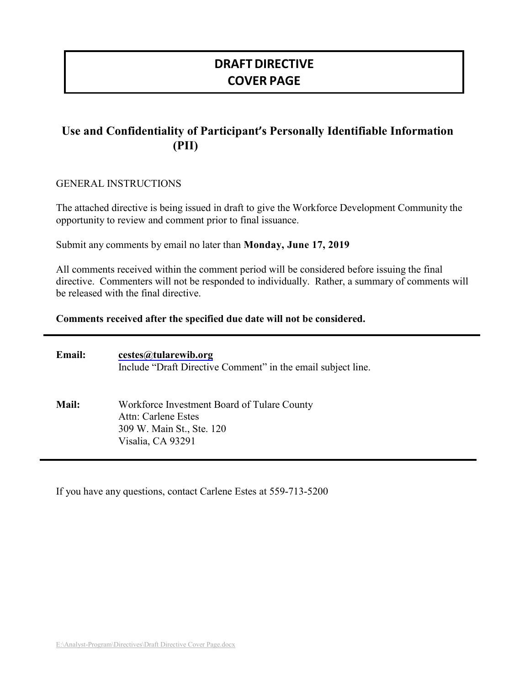# **DRAFT DIRECTIVE COVER PAGE**

# **Use and Confidentiality of Participant's Personally Identifiable Information (PII)**

#### GENERAL INSTRUCTIONS

The attached directive is being issued in draft to give the Workforce Development Community the opportunity to review and comment prior to final issuance.

Submit any comments by email no later than **Monday, June 17, 2019**

All comments received within the comment period will be considered before issuing the final directive. Commenters will not be responded to individually. Rather, a summary of comments will be released with the final directive.

#### **Comments received after the specified due date will not be considered.**

| Email:       | cestes@tularewib.org<br>Include "Draft Directive Comment" in the email subject line.                                        |
|--------------|-----------------------------------------------------------------------------------------------------------------------------|
| <b>Mail:</b> | Workforce Investment Board of Tulare County<br><b>Attn: Carlene Estes</b><br>309 W. Main St., Ste. 120<br>Visalia, CA 93291 |

If you have any questions, contact Carlene Estes at 559-713-5200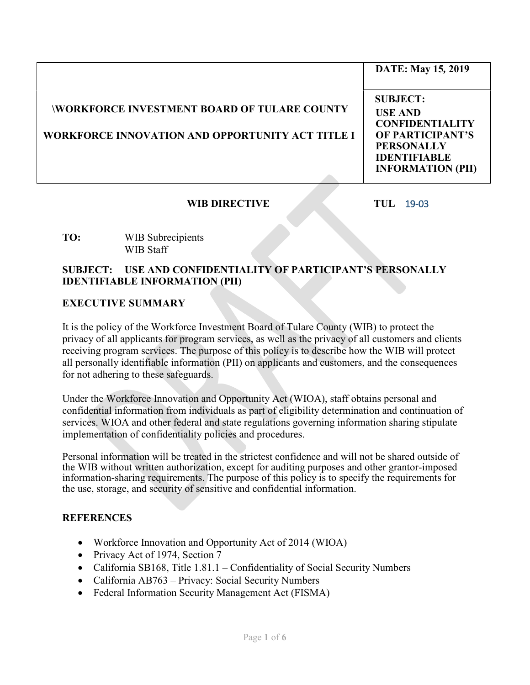|                                                                                                        | <b>DATE: May 15, 2019</b>                                                                                                                               |
|--------------------------------------------------------------------------------------------------------|---------------------------------------------------------------------------------------------------------------------------------------------------------|
| <b>WORKFORCE INVESTMENT BOARD OF TULARE COUNTY</b><br>WORKFORCE INNOVATION AND OPPORTUNITY ACT TITLE I | <b>SUBJECT:</b><br><b>USE AND</b><br><b>CONFIDENTIALITY</b><br>OF PARTICIPANT'S<br><b>PERSONALLY</b><br><b>IDENTIFIABLE</b><br><b>INFORMATION (PII)</b> |

### **WIB DIRECTIVE TUL** 19-03

#### **TO:** WIB Subrecipients WIB Staff

#### **SUBJECT: USE AND CONFIDENTIALITY OF PARTICIPANT'S PERSONALLY IDENTIFIABLE INFORMATION (PII)**

### **EXECUTIVE SUMMARY**

It is the policy of the Workforce Investment Board of Tulare County (WIB) to protect the privacy of all applicants for program services, as well as the privacy of all customers and clients receiving program services. The purpose of this policy is to describe how the WIB will protect all personally identifiable information (PII) on applicants and customers, and the consequences for not adhering to these safeguards.

Under the Workforce Innovation and Opportunity Act (WIOA), staff obtains personal and confidential information from individuals as part of eligibility determination and continuation of services. WIOA and other federal and state regulations governing information sharing stipulate implementation of confidentiality policies and procedures.

Personal information will be treated in the strictest confidence and will not be shared outside of the WIB without written authorization, except for auditing purposes and other grantor-imposed information-sharing requirements. The purpose of this policy is to specify the requirements for the use, storage, and security of sensitive and confidential information.

#### **REFERENCES**

- Workforce Innovation and Opportunity Act of 2014 (WIOA)
- Privacy Act of 1974, Section 7
- California SB168, Title 1.81.1 Confidentiality of Social Security Numbers
- California AB763 Privacy: Social Security Numbers
- Federal Information Security Management Act (FISMA)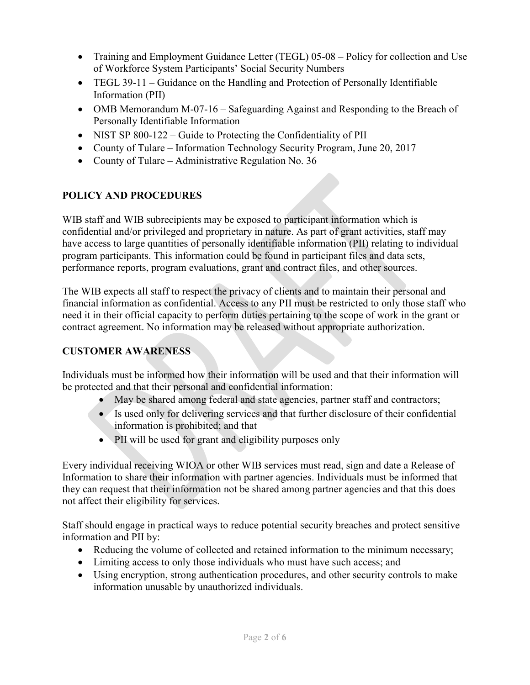- Training and Employment Guidance Letter (TEGL) 05-08 Policy for collection and Use of Workforce System Participants' Social Security Numbers
- TEGL 39-11 Guidance on the Handling and Protection of Personally Identifiable Information (PII)
- OMB Memorandum M-07-16 Safeguarding Against and Responding to the Breach of Personally Identifiable Information
- NIST SP 800-122 Guide to Protecting the Confidentiality of PII
- County of Tulare Information Technology Security Program, June 20, 2017
- County of Tulare Administrative Regulation No. 36

## **POLICY AND PROCEDURES**

WIB staff and WIB subrecipients may be exposed to participant information which is confidential and/or privileged and proprietary in nature. As part of grant activities, staff may have access to large quantities of personally identifiable information (PII) relating to individual program participants. This information could be found in participant files and data sets, performance reports, program evaluations, grant and contract files, and other sources.

The WIB expects all staff to respect the privacy of clients and to maintain their personal and financial information as confidential. Access to any PII must be restricted to only those staff who need it in their official capacity to perform duties pertaining to the scope of work in the grant or contract agreement. No information may be released without appropriate authorization.

## **CUSTOMER AWARENESS**

Individuals must be informed how their information will be used and that their information will be protected and that their personal and confidential information:

- May be shared among federal and state agencies, partner staff and contractors;
- Is used only for delivering services and that further disclosure of their confidential information is prohibited; and that
- PII will be used for grant and eligibility purposes only

Every individual receiving WIOA or other WIB services must read, sign and date a Release of Information to share their information with partner agencies. Individuals must be informed that they can request that their information not be shared among partner agencies and that this does not affect their eligibility for services.

Staff should engage in practical ways to reduce potential security breaches and protect sensitive information and PII by:

- Reducing the volume of collected and retained information to the minimum necessary;
- Limiting access to only those individuals who must have such access; and
- Using encryption, strong authentication procedures, and other security controls to make information unusable by unauthorized individuals.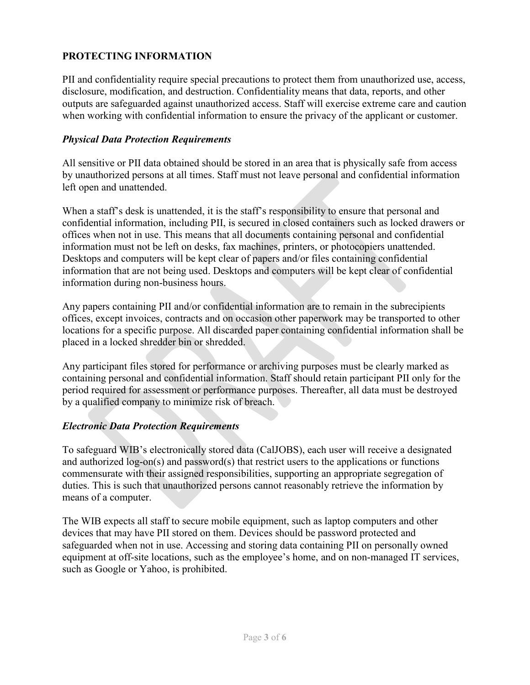## **PROTECTING INFORMATION**

PII and confidentiality require special precautions to protect them from unauthorized use, access, disclosure, modification, and destruction. Confidentiality means that data, reports, and other outputs are safeguarded against unauthorized access. Staff will exercise extreme care and caution when working with confidential information to ensure the privacy of the applicant or customer.

### *Physical Data Protection Requirements*

All sensitive or PII data obtained should be stored in an area that is physically safe from access by unauthorized persons at all times. Staff must not leave personal and confidential information left open and unattended.

When a staff's desk is unattended, it is the staff's responsibility to ensure that personal and confidential information, including PII, is secured in closed containers such as locked drawers or offices when not in use. This means that all documents containing personal and confidential information must not be left on desks, fax machines, printers, or photocopiers unattended. Desktops and computers will be kept clear of papers and/or files containing confidential information that are not being used. Desktops and computers will be kept clear of confidential information during non-business hours.

Any papers containing PII and/or confidential information are to remain in the subrecipients offices, except invoices, contracts and on occasion other paperwork may be transported to other locations for a specific purpose. All discarded paper containing confidential information shall be placed in a locked shredder bin or shredded.

Any participant files stored for performance or archiving purposes must be clearly marked as containing personal and confidential information. Staff should retain participant PII only for the period required for assessment or performance purposes. Thereafter, all data must be destroyed by a qualified company to minimize risk of breach.

### *Electronic Data Protection Requirements*

To safeguard WIB's electronically stored data (CalJOBS), each user will receive a designated and authorized log-on(s) and password(s) that restrict users to the applications or functions commensurate with their assigned responsibilities, supporting an appropriate segregation of duties. This is such that unauthorized persons cannot reasonably retrieve the information by means of a computer.

The WIB expects all staff to secure mobile equipment, such as laptop computers and other devices that may have PII stored on them. Devices should be password protected and safeguarded when not in use. Accessing and storing data containing PII on personally owned equipment at off-site locations, such as the employee's home, and on non-managed IT services, such as Google or Yahoo, is prohibited.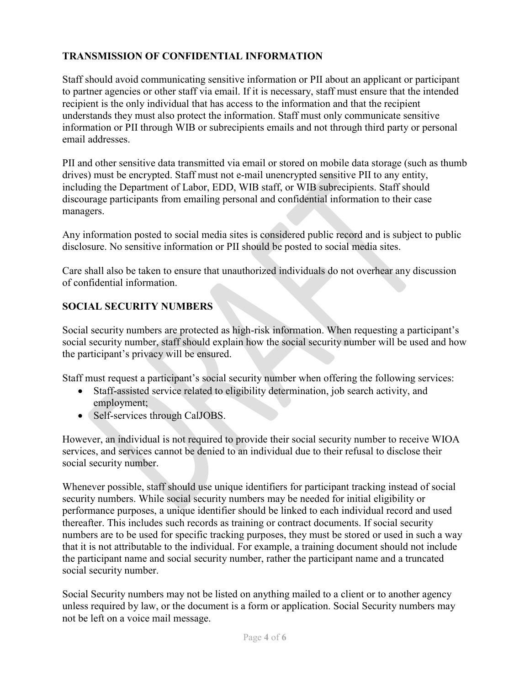## **TRANSMISSION OF CONFIDENTIAL INFORMATION**

Staff should avoid communicating sensitive information or PII about an applicant or participant to partner agencies or other staff via email. If it is necessary, staff must ensure that the intended recipient is the only individual that has access to the information and that the recipient understands they must also protect the information. Staff must only communicate sensitive information or PII through WIB or subrecipients emails and not through third party or personal email addresses.

PII and other sensitive data transmitted via email or stored on mobile data storage (such as thumb drives) must be encrypted. Staff must not e-mail unencrypted sensitive PII to any entity, including the Department of Labor, EDD, WIB staff, or WIB subrecipients. Staff should discourage participants from emailing personal and confidential information to their case managers.

Any information posted to social media sites is considered public record and is subject to public disclosure. No sensitive information or PII should be posted to social media sites.

Care shall also be taken to ensure that unauthorized individuals do not overhear any discussion of confidential information.

## **SOCIAL SECURITY NUMBERS**

Social security numbers are protected as high-risk information. When requesting a participant's social security number, staff should explain how the social security number will be used and how the participant's privacy will be ensured.

Staff must request a participant's social security number when offering the following services:

- Staff-assisted service related to eligibility determination, job search activity, and employment;
- Self-services through CalJOBS.

However, an individual is not required to provide their social security number to receive WIOA services, and services cannot be denied to an individual due to their refusal to disclose their social security number.

Whenever possible, staff should use unique identifiers for participant tracking instead of social security numbers. While social security numbers may be needed for initial eligibility or performance purposes, a unique identifier should be linked to each individual record and used thereafter. This includes such records as training or contract documents. If social security numbers are to be used for specific tracking purposes, they must be stored or used in such a way that it is not attributable to the individual. For example, a training document should not include the participant name and social security number, rather the participant name and a truncated social security number.

Social Security numbers may not be listed on anything mailed to a client or to another agency unless required by law, or the document is a form or application. Social Security numbers may not be left on a voice mail message.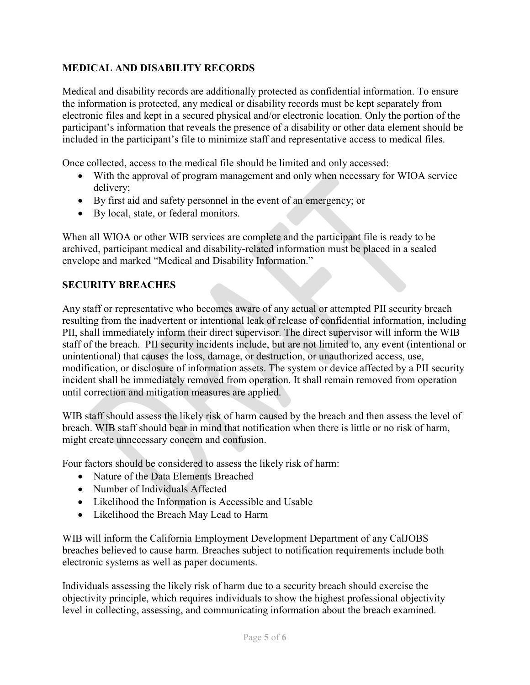## **MEDICAL AND DISABILITY RECORDS**

Medical and disability records are additionally protected as confidential information. To ensure the information is protected, any medical or disability records must be kept separately from electronic files and kept in a secured physical and/or electronic location. Only the portion of the participant's information that reveals the presence of a disability or other data element should be included in the participant's file to minimize staff and representative access to medical files.

Once collected, access to the medical file should be limited and only accessed:

- With the approval of program management and only when necessary for WIOA service delivery;
- By first aid and safety personnel in the event of an emergency; or
- By local, state, or federal monitors.

When all WIOA or other WIB services are complete and the participant file is ready to be archived, participant medical and disability-related information must be placed in a sealed envelope and marked "Medical and Disability Information."

## **SECURITY BREACHES**

Any staff or representative who becomes aware of any actual or attempted PII security breach resulting from the inadvertent or intentional leak of release of confidential information, including PII, shall immediately inform their direct supervisor. The direct supervisor will inform the WIB staff of the breach. PII security incidents include, but are not limited to, any event (intentional or unintentional) that causes the loss, damage, or destruction, or unauthorized access, use, modification, or disclosure of information assets. The system or device affected by a PII security incident shall be immediately removed from operation. It shall remain removed from operation until correction and mitigation measures are applied.

WIB staff should assess the likely risk of harm caused by the breach and then assess the level of breach. WIB staff should bear in mind that notification when there is little or no risk of harm, might create unnecessary concern and confusion.

Four factors should be considered to assess the likely risk of harm:

- Nature of the Data Elements Breached
- Number of Individuals Affected
- Likelihood the Information is Accessible and Usable
- Likelihood the Breach May Lead to Harm

WIB will inform the California Employment Development Department of any CalJOBS breaches believed to cause harm. Breaches subject to notification requirements include both electronic systems as well as paper documents.

Individuals assessing the likely risk of harm due to a security breach should exercise the objectivity principle, which requires individuals to show the highest professional objectivity level in collecting, assessing, and communicating information about the breach examined.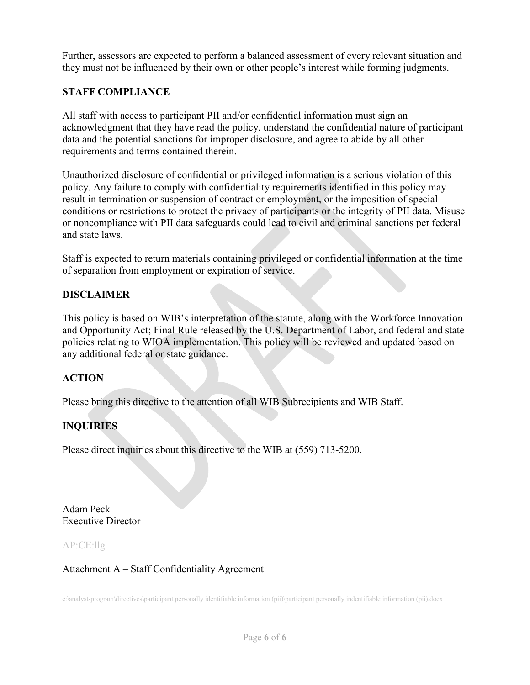Further, assessors are expected to perform a balanced assessment of every relevant situation and they must not be influenced by their own or other people's interest while forming judgments.

## **STAFF COMPLIANCE**

All staff with access to participant PII and/or confidential information must sign an acknowledgment that they have read the policy, understand the confidential nature of participant data and the potential sanctions for improper disclosure, and agree to abide by all other requirements and terms contained therein.

Unauthorized disclosure of confidential or privileged information is a serious violation of this policy. Any failure to comply with confidentiality requirements identified in this policy may result in termination or suspension of contract or employment, or the imposition of special conditions or restrictions to protect the privacy of participants or the integrity of PII data. Misuse or noncompliance with PII data safeguards could lead to civil and criminal sanctions per federal and state laws.

Staff is expected to return materials containing privileged or confidential information at the time of separation from employment or expiration of service.

## **DISCLAIMER**

This policy is based on WIB's interpretation of the statute, along with the Workforce Innovation and Opportunity Act; Final Rule released by the U.S. Department of Labor, and federal and state policies relating to WIOA implementation. This policy will be reviewed and updated based on any additional federal or state guidance.

## **ACTION**

Please bring this directive to the attention of all WIB Subrecipients and WIB Staff.

# **INQUIRIES**

Please direct inquiries about this directive to the WIB at (559) 713-5200.

Adam Peck Executive Director

AP:CE:llg

Attachment A – Staff Confidentiality Agreement

e:\analyst-program\directives\participant personally identifiable information (pii)\participant personally indentifiable information (pii).docx